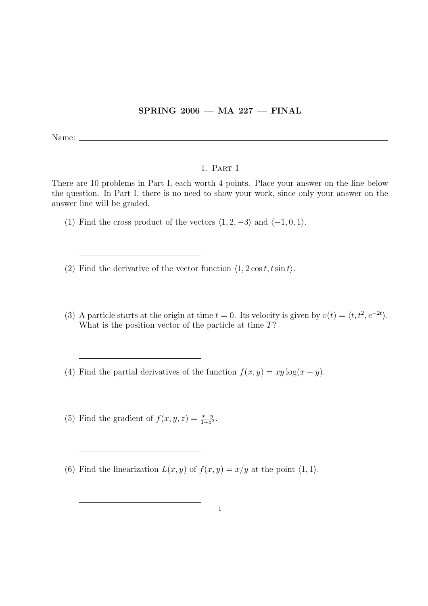## SPRING 2006 — MA 227 — FINAL

Name:  $\equiv$ 

## 1. Part I

There are 10 problems in Part I, each worth 4 points. Place your answer on the line below the question. In Part I, there is no need to show your work, since only your answer on the answer line will be graded.

- (1) Find the cross product of the vectors  $\langle 1, 2, -3 \rangle$  and  $\langle -1, 0, 1 \rangle$ .
- (2) Find the derivative of the vector function  $\langle 1, 2\cos t, t\sin t \rangle$ .
- (3) A particle starts at the origin at time  $t = 0$ . Its velocity is given by  $v(t) = \langle t, t^2, e^{-2t} \rangle$ . What is the position vector of the particle at time T?
- (4) Find the partial derivatives of the function  $f(x, y) = xy \log(x + y)$ .
- (5) Find the gradient of  $f(x, y, z) = \frac{x-y}{1+z^2}$ .
- (6) Find the linearization  $L(x, y)$  of  $f(x, y) = x/y$  at the point  $\langle 1, 1 \rangle$ .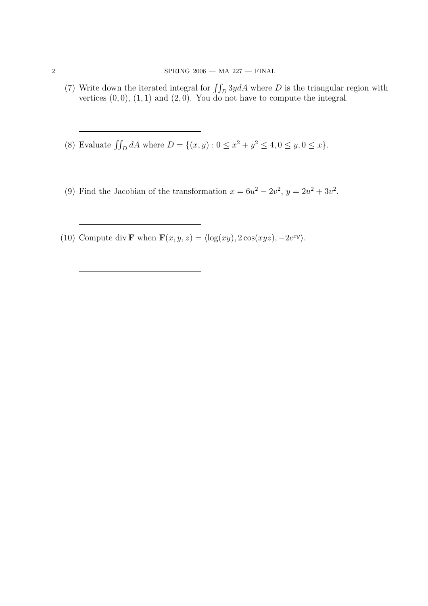- (7) Write down the iterated integral for  $\iint_D 3y dA$  where D is the triangular region with vertices  $(0, 0)$ ,  $(1, 1)$  and  $(2, 0)$ . You do not have to compute the integral.
- (8) Evaluate  $\iint_D dA$  where  $D = \{(x, y) : 0 \le x^2 + y^2 \le 4, 0 \le y, 0 \le x\}.$
- (9) Find the Jacobian of the transformation  $x = 6u^2 2v^2$ ,  $y = 2u^2 + 3v^2$ .
- (10) Compute div **F** when  $\mathbf{F}(x, y, z) = \langle \log(xy), 2 \cos(xyz), -2e^{xy} \rangle$ .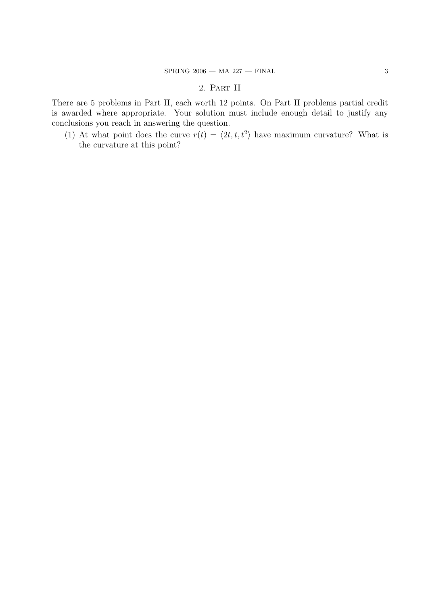## 2. Part II

There are 5 problems in Part II, each worth 12 points. On Part II problems partial credit is awarded where appropriate. Your solution must include enough detail to justify any conclusions you reach in answering the question.

(1) At what point does the curve  $r(t) = \langle 2t, t, t^2 \rangle$  have maximum curvature? What is the curvature at this point?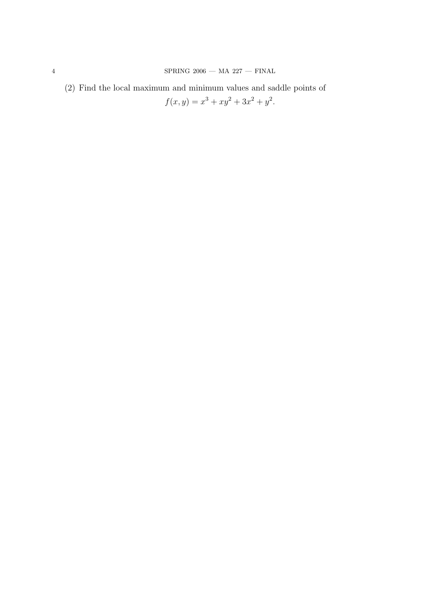(2) Find the local maximum and minimum values and saddle points of  $f(x, y) = x<sup>3</sup> + xy<sup>2</sup> + 3x<sup>2</sup> + y<sup>2</sup>.$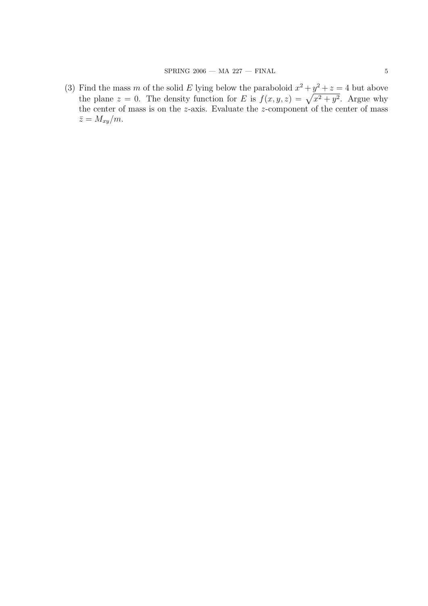(3) Find the mass m of the solid E lying below the paraboloid  $x^2 + y^2 + z = 4$  but above the plane  $z = 0$ . The density function for E is  $f(x, y, z) = \sqrt{x^2 + y^2}$ . Argue why the center of mass is on the z-axis. Evaluate the z-component of the center of mass  $\bar{z} = M_{xy}/m.$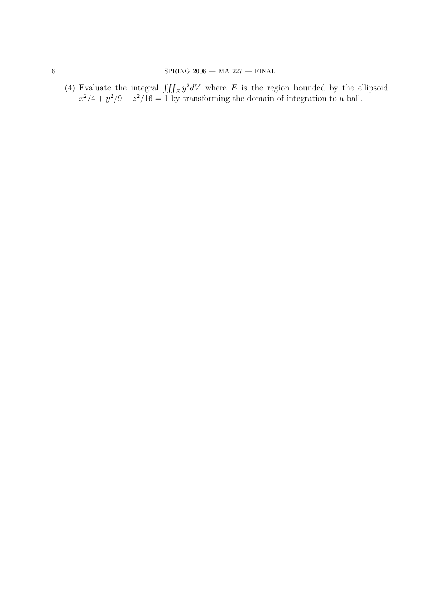(4) Evaluate the integral  $\iiint_E y^2 dV$  where E is the region bounded by the ellipsoid  $x^2/4 + y^2/9 + z^2/16 = 1$  by transforming the domain of integration to a ball.